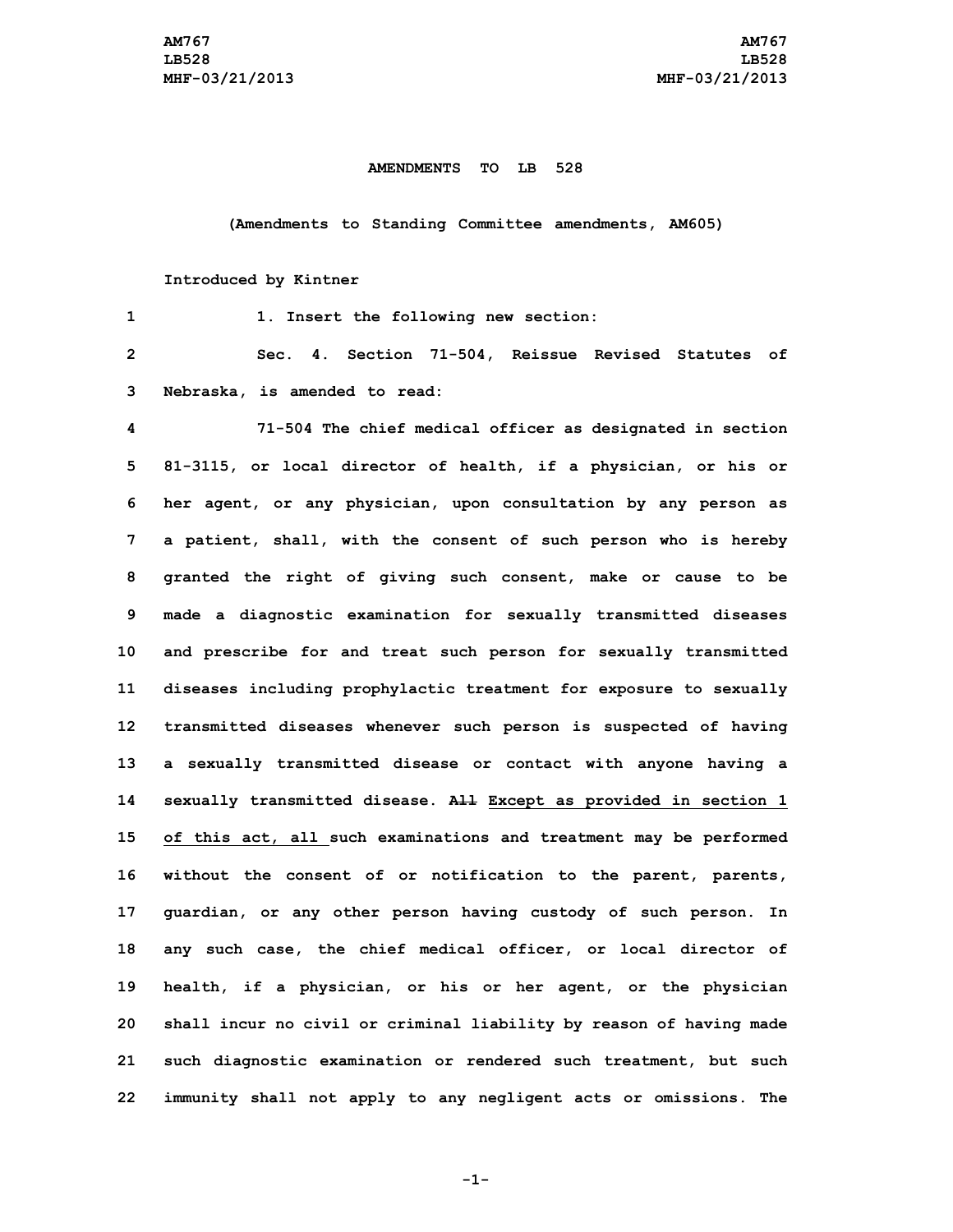## **AMENDMENTS TO LB 528**

## **(Amendments to Standing Committee amendments, AM605)**

## **Introduced by Kintner**

| 1              | 1. Insert the following new section:                                |
|----------------|---------------------------------------------------------------------|
| $\overline{2}$ | Sec. 4. Section 71-504, Reissue Revised Statutes of                 |
| 3              | Nebraska, is amended to read:                                       |
| 4              | 71-504 The chief medical officer as designated in section           |
| 5              | 81-3115, or local director of health, if a physician, or his or     |
| 6              | her agent, or any physician, upon consultation by any person as     |
| 7              | a patient, shall, with the consent of such person who is hereby     |
| 8              | granted the right of giving such consent, make or cause to be       |
| 9              | made a diagnostic examination for sexually transmitted diseases     |
| 10             | and prescribe for and treat such person for sexually transmitted    |
| 11             | diseases including prophylactic treatment for exposure to sexually  |
| 12             | transmitted diseases whenever such person is suspected of having    |
| 13             | a sexually transmitted disease or contact with anyone having a      |
| 14             | sexually transmitted disease. All Except as provided in section 1   |
| 15             | of this act, all such examinations and treatment may be performed   |
| 16             | without the consent of or notification to the parent, parents,      |
| 17             | guardian, or any other person having custody of such person. In     |
| 18             | any such case, the chief medical officer, or local director of      |
| 19             | health, if a physician, or his or her agent, or the physician       |
| 20             | shall incur no civil or criminal liability by reason of having made |
| 21             | such diagnostic examination or rendered such treatment, but such    |
| 22             | immunity shall not apply to any negligent acts or omissions. The    |

**-1-**